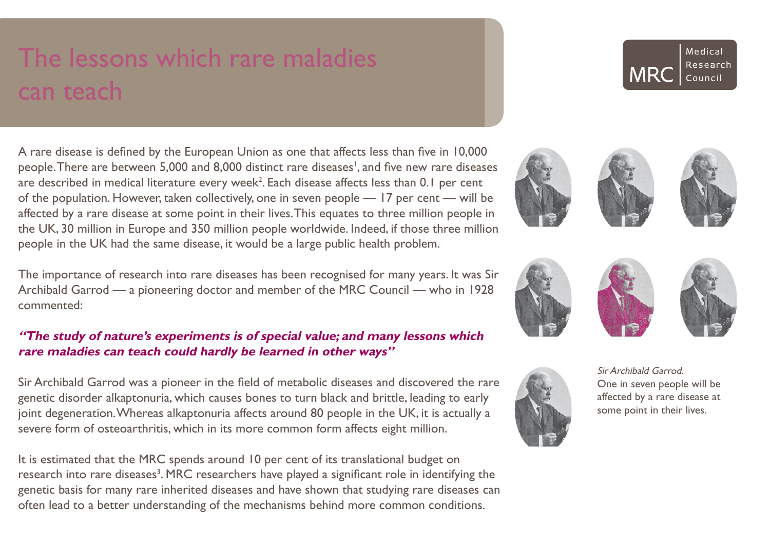# The lessons which rare maladies can teach

A rare disease is defined by the European Union as one that affects less than five in 10,000 people. There are between 5,000 and 8,000 distinct rare diseases', and five new rare diseases are described in medical literature every week $^2$ . Each disease affects less than 0.1 per cent of the population. However, taken collectively, one in seven people — 17 per cent — will be affected by a rare disease at some point in their lives. This equates to three million people in the UK, 30 million in Europe and 350 million people worldwide. Indeed, if those three million people in the UK had the same disease, it would be a large public health problem.

The importance of research into rare diseases has been recognised for many years. It was Sir Archibald Garrod — a pioneering doctor and member of the MRC Council — who in 1928 commented:

# **"The study of nature's experiments is of special value; and many lessons which rare maladies can teach could hardly be learned in other ways"**

Sir Archibald Garrod was a pioneer in the field of metabolic diseases and discovered the rare genetic disorder alkaptonuria, which causes bones to turn black and brittle, leading to early joint degeneration. Whereas alkaptonuria affects around 80 people in the UK, it is actually a severe form of osteoarthritis, which in its more common form affects eight million.

It is estimated that the MRC spends around 10 per cent of its translational budget on research into rare diseases<sup>3</sup>. MRC researchers have played a significant role in identifying the genetic basis for many rare inherited diseases and have shown that studying rare diseases can often lead to a better understanding of the mechanisms behind more common conditions.















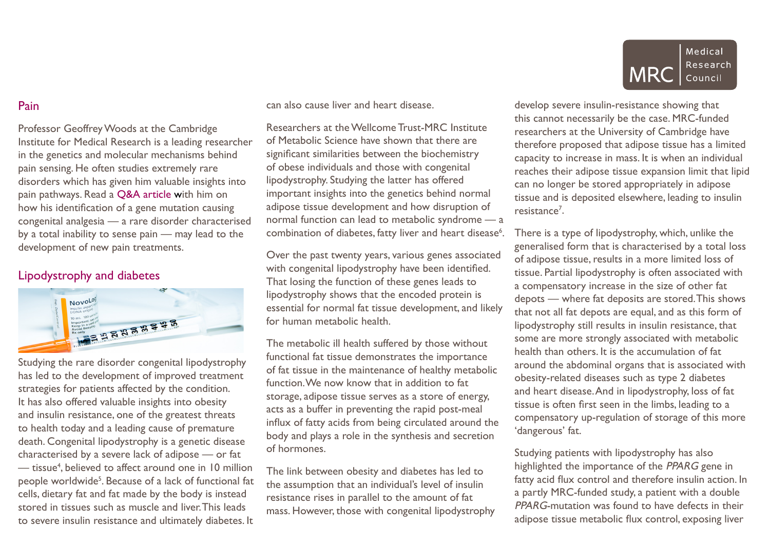# Pain

Professor Geoffrey Woods at the Cambridge Institute for Medical Research is a leading researcher in the genetics and molecular mechanisms behind pain sensing. He often studies extremely rare disorders which has given him valuable insights into pain pathways. Read a [Q&A article](http://mrc.io/disrar) with him on how his identification of a gene mutation causing congenital analgesia — a rare disorder characterised by a total inability to sense pain — may lead to the development of new pain treatments.

# Lipodystrophy and diabetes



Studying the rare disorder congenital lipodystrophy has led to the development of improved treatment strategies for patients affected by the condition. It has also offered valuable insights into obesity and insulin resistance, one of the greatest threats to health today and a leading cause of premature death. Congenital lipodystrophy is a genetic disease characterised by a severe lack of adipose — or fat — tissue<sup>4</sup> , believed to affect around one in 10 million people worldwide<sup>5</sup>. Because of a lack of functional fat cells, dietary fat and fat made by the body is instead stored in tissues such as muscle and liver. This leads to severe insulin resistance and ultimately diabetes. It

can also cause liver and heart disease.

Researchers at the Wellcome Trust-MRC Institute of Metabolic Science have shown that there are significant similarities between the biochemistry of obese individuals and those with congenital lipodystrophy. Studying the latter has offered important insights into the genetics behind normal adipose tissue development and how disruption of normal function can lead to metabolic syndrome — a combination of diabetes, fatty liver and heart disease<sup>6</sup>.

Over the past twenty years, various genes associated with congenital lipodystrophy have been identified. That losing the function of these genes leads to lipodystrophy shows that the encoded protein is essential for normal fat tissue development, and likely for human metabolic health.

The metabolic ill health suffered by those without functional fat tissue demonstrates the importance of fat tissue in the maintenance of healthy metabolic function. We now know that in addition to fat storage, adipose tissue serves as a store of energy, acts as a buffer in preventing the rapid post-meal influx of fatty acids from being circulated around the body and plays a role in the synthesis and secretion of hormones.

The link between obesity and diabetes has led to the assumption that an individual's level of insulin resistance rises in parallel to the amount of fat mass. However, those with congenital lipodystrophy



develop severe insulin-resistance showing that this cannot necessarily be the case. MRC-funded researchers at the University of Cambridge have therefore proposed that adipose tissue has a limited capacity to increase in mass. It is when an individual reaches their adipose tissue expansion limit that lipid can no longer be stored appropriately in adipose tissue and is deposited elsewhere, leading to insulin resistance<sup>7</sup>.

There is a type of lipodystrophy, which, unlike the generalised form that is characterised by a total loss of adipose tissue, results in a more limited loss of tissue. Partial lipodystrophy is often associated with a compensatory increase in the size of other fat depots — where fat deposits are stored. This shows that not all fat depots are equal, and as this form of lipodystrophy still results in insulin resistance, that some are more strongly associated with metabolic health than others. It is the accumulation of fat around the abdominal organs that is associated with obesity-related diseases such as type 2 diabetes and heart disease. And in lipodystrophy, loss of fat tissue is often first seen in the limbs, leading to a compensatory up-regulation of storage of this more 'dangerous' fat.

Studying patients with lipodystrophy has also highlighted the importance of the PPARG gene in fatty acid flux control and therefore insulin action. In a partly MRC-funded study, a patient with a double PPARG-mutation was found to have defects in their adipose tissue metabolic flux control, exposing liver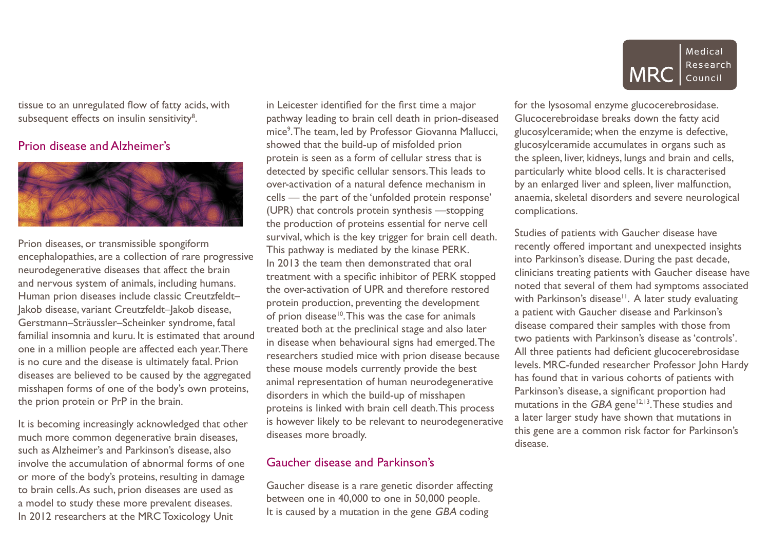tissue to an unregulated flow of fatty acids, with subsequent effects on insulin sensitivity<sup>8</sup>.

# Prion disease and Alzheimer's



Prion diseases, or transmissible spongiform encephalopathies, are a collection of rare progressive neurodegenerative diseases that affect the brain and nervous system of animals, including humans. Human prion diseases include classic Creutzfeldt– Jakob disease, variant Creutzfeldt–Jakob disease, Gerstmann–Sträussler–Scheinker syndrome, fatal familial insomnia and kuru. It is estimated that around one in a million people are affected each year. There is no cure and the disease is ultimately fatal. Prion diseases are believed to be caused by the aggregated misshapen forms of one of the body's own proteins, the prion protein or PrP in the brain.

It is becoming increasingly acknowledged that other much more common degenerative brain diseases, such as Alzheimer's and Parkinson's disease, also involve the accumulation of abnormal forms of one or more of the body's proteins, resulting in damage to brain cells. As such, prion diseases are used as a model to study these more prevalent diseases. In 2012 researchers at the MRC Toxicology Unit

in Leicester identified for the first time a major pathway leading to brain cell death in prion-diseased mice9 . The team, led by Professor Giovanna Mallucci, showed that the build-up of misfolded prion protein is seen as a form of cellular stress that is detected by specific cellular sensors. This leads to over-activation of a natural defence mechanism in cells — the part of the 'unfolded protein response' (UPR) that controls protein synthesis —stopping the production of proteins essential for nerve cell survival, which is the key trigger for brain cell death. This pathway is mediated by the kinase PERK. In 2013 the team then demonstrated that oral treatment with a specific inhibitor of PERK stopped the over-activation of UPR and therefore restored protein production, preventing the development of prion disease<sup>10</sup>. This was the case for animals treated both at the preclinical stage and also later in disease when behavioural signs had emerged. The researchers studied mice with prion disease because these mouse models currently provide the best animal representation of human neurodegenerative disorders in which the build-up of misshapen proteins is linked with brain cell death. This process is however likely to be relevant to neurodegenerative diseases more broadly.

#### Gaucher disease and Parkinson's

Gaucher disease is a rare genetic disorder affecting between one in 40,000 to one in 50,000 people. It is caused by a mutation in the gene GBA coding



for the lysosomal enzyme glucocerebrosidase. Glucocerebroidase breaks down the fatty acid glucosylceramide; when the enzyme is defective, glucosylceramide accumulates in organs such as the spleen, liver, kidneys, lungs and brain and cells, particularly white blood cells. It is characterised by an enlarged liver and spleen, liver malfunction, anaemia, skeletal disorders and severe neurological complications.

Studies of patients with Gaucher disease have recently offered important and unexpected insights into Parkinson's disease. During the past decade, clinicians treating patients with Gaucher disease have noted that several of them had symptoms associated with Parkinson's disease<sup>11</sup>. A later study evaluating a patient with Gaucher disease and Parkinson's disease compared their samples with those from two patients with Parkinson's disease as 'controls'. All three patients had deficient glucocerebrosidase levels. MRC-funded researcher Professor John Hardy has found that in various cohorts of patients with Parkinson's disease, a significant proportion had mutations in the  $GBA$  gene<sup>12,13</sup>. These studies and a later larger study have shown that mutations in this gene are a common risk factor for Parkinson's disease.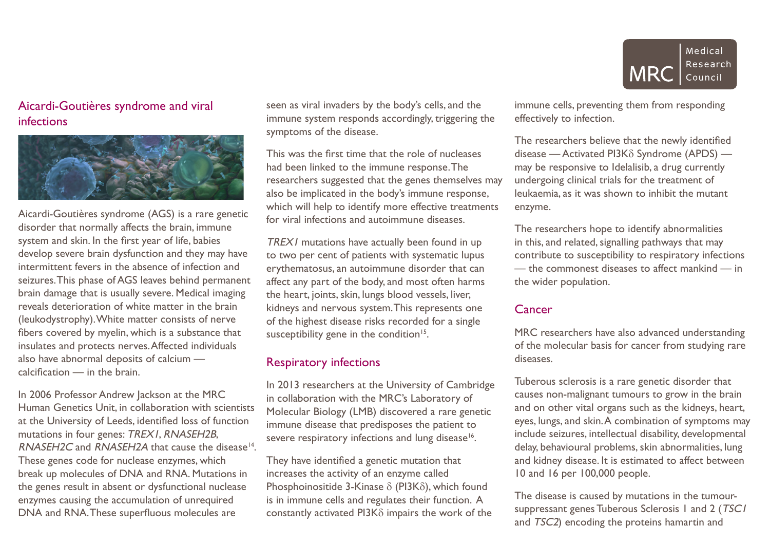# Aicardi-Goutières syndrome and viral infections



Aicardi-Goutières syndrome (AGS) is a rare genetic disorder that normally affects the brain, immune system and skin. In the first year of life, babies develop severe brain dysfunction and they may have intermittent fevers in the absence of infection and seizures. This phase of AGS leaves behind permanent brain damage that is usually severe. Medical imaging reveals deterioration of white matter in the brain (leukodystrophy). White matter consists of nerve fibers covered by myelin, which is a substance that insulates and protects nerves. Affected individuals also have abnormal deposits of calcium calcification — in the brain.

In 2006 Professor Andrew Jackson at the MRC Human Genetics Unit, in collaboration with scientists at the University of Leeds, identified loss of function mutations in four genes: TREX1, RNASEH2B, RNASEH2C and RNASEH2A that cause the disease<sup>14</sup>. These genes code for nuclease enzymes, which break up molecules of DNA and RNA. Mutations in the genes result in absent or dysfunctional nuclease enzymes causing the accumulation of unrequired DNA and RNA. These superfluous molecules are

seen as viral invaders by the body's cells, and the immune system responds accordingly, triggering the symptoms of the disease.

This was the first time that the role of nucleases had been linked to the immune response. The researchers suggested that the genes themselves may also be implicated in the body's immune response, which will help to identify more effective treatments for viral infections and autoimmune diseases.

TREX1 mutations have actually been found in up to two per cent of patients with systematic lupus erythematosus, an autoimmune disorder that can affect any part of the body, and most often harms the heart, joints, skin, lungs blood vessels, liver, kidneys and nervous system. This represents one of the highest disease risks recorded for a single susceptibility gene in the condition<sup>15</sup>.

#### Respiratory infections

In 2013 researchers at the University of Cambridge in collaboration with the MRC's Laboratory of Molecular Biology (LMB) discovered a rare genetic immune disease that predisposes the patient to severe respiratory infections and lung disease<sup>16</sup>.

They have identified a genetic mutation that increases the activity of an enzyme called Phosphoinositide 3-Kinase  $\delta$  (PI3K $\delta$ ), which found is in immune cells and regulates their function. A constantly activated  $PI3K\delta$  impairs the work of the



immune cells, preventing them from responding effectively to infection.

The researchers believe that the newly identified disease — Activated PI3K $\delta$  Syndrome (APDS) may be responsive to Idelalisib, a drug currently undergoing clinical trials for the treatment of leukaemia, as it was shown to inhibit the mutant enzyme.

The researchers hope to identify abnormalities in this, and related, signalling pathways that may contribute to susceptibility to respiratory infections — the commonest diseases to affect mankind — in the wider population.

# **Cancer**

MRC researchers have also advanced understanding of the molecular basis for cancer from studying rare diseases.

Tuberous sclerosis is a rare genetic disorder that causes non-malignant tumours to grow in the brain and on other vital organs such as the kidneys, heart, eyes, lungs, and skin. A combination of symptoms may include seizures, intellectual disability, developmental delay, behavioural problems, skin abnormalities, lung and kidney disease. It is estimated to affect between 10 and 16 per 100,000 people.

The disease is caused by mutations in the tumoursuppressant genes Tuberous Sclerosis 1 and 2 (TSC1) and *TSC2*) encoding the proteins hamartin and